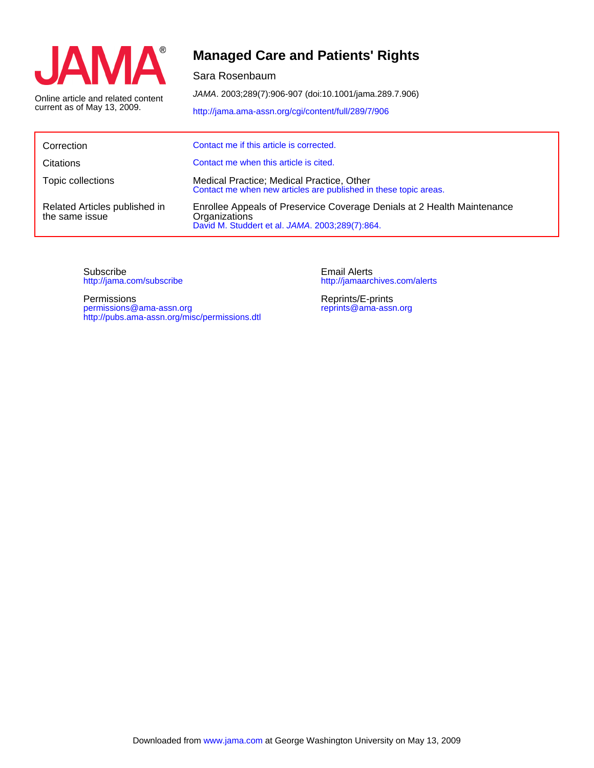

current as of May 13, 2009. Online article and related content

## **Managed Care and Patients' Rights**

Sara Rosenbaum

JAMA. 2003;289(7):906-907 (doi:10.1001/jama.289.7.906)

<http://jama.ama-assn.org/cgi/content/full/289/7/906>

| Correction<br>Citations                         | Contact me if this article is corrected.<br>Contact me when this article is cited.                                                          |
|-------------------------------------------------|---------------------------------------------------------------------------------------------------------------------------------------------|
| Topic collections                               | Medical Practice; Medical Practice, Other<br>Contact me when new articles are published in these topic areas.                               |
| Related Articles published in<br>the same issue | Enrollee Appeals of Preservice Coverage Denials at 2 Health Maintenance<br>Organizations<br>David M. Studdert et al. JAMA. 2003;289(7):864. |

<http://jama.com/subscribe> Subscribe

<http://pubs.ama-assn.org/misc/permissions.dtl> permissions@ama-assn.org Permissions

<http://jamaarchives.com/alerts> Email Alerts

[reprints@ama-assn.org](mailto:reprints@ama-assn.org) Reprints/E-prints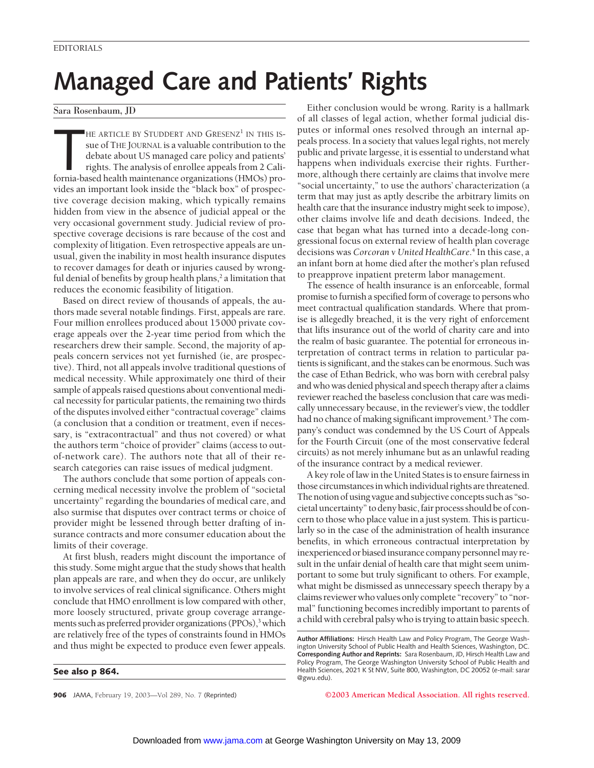# **Managed Care and Patients' Rights**

### Sara Rosenbaum, JD

HE ARTICLE BY STUDDERT AND GRESENZ<sup>1</sup> IN THIS IS-<br>sue of THE JOURNAL is a valuable contribution to the<br>debate about US managed care policy and patients'<br>rights. The analysis of enrollee appeals from 2 Cali-<br>fornia-based he HE ARTICLE BY STUDDERT AND GRESENZ<sup>1</sup> IN THIS ISsue of THE JOURNAL is a valuable contribution to the debate about US managed care policy and patients' rights. The analysis of enrollee appeals from 2 Calivides an important look inside the "black box" of prospective coverage decision making, which typically remains hidden from view in the absence of judicial appeal or the very occasional government study. Judicial review of prospective coverage decisions is rare because of the cost and complexity of litigation. Even retrospective appeals are unusual, given the inability in most health insurance disputes to recover damages for death or injuries caused by wrongful denial of benefits by group health plans,<sup>2</sup> a limitation that reduces the economic feasibility of litigation.

Based on direct review of thousands of appeals, the authors made several notable findings. First, appeals are rare. Four million enrollees produced about 15000 private coverage appeals over the 2-year time period from which the researchers drew their sample. Second, the majority of appeals concern services not yet furnished (ie, are prospective). Third, not all appeals involve traditional questions of medical necessity. While approximately one third of their sample of appeals raised questions about conventional medical necessity for particular patients, the remaining two thirds of the disputes involved either "contractual coverage" claims (a conclusion that a condition or treatment, even if necessary, is "extracontractual" and thus not covered) or what the authors term "choice of provider" claims (access to outof-network care). The authors note that all of their research categories can raise issues of medical judgment.

The authors conclude that some portion of appeals concerning medical necessity involve the problem of "societal uncertainty" regarding the boundaries of medical care, and also surmise that disputes over contract terms or choice of provider might be lessened through better drafting of insurance contracts and more consumer education about the limits of their coverage.

At first blush, readers might discount the importance of this study. Some might argue that the study shows that health plan appeals are rare, and when they do occur, are unlikely to involve services of real clinical significance. Others might conclude that HMO enrollment is low compared with other, more loosely structured, private group coverage arrangements such as preferred provider organizations (PPOs),<sup>3</sup> which are relatively free of the types of constraints found in HMOs and thus might be expected to produce even fewer appeals.

#### **See also p 864.**

Either conclusion would be wrong. Rarity is a hallmark of all classes of legal action, whether formal judicial disputes or informal ones resolved through an internal appeals process. In a society that values legal rights, not merely public and private largesse, it is essential to understand what happens when individuals exercise their rights. Furthermore, although there certainly are claims that involve mere "social uncertainty," to use the authors' characterization (a term that may just as aptly describe the arbitrary limits on health care that the insurance industry might seek to impose), other claims involve life and death decisions. Indeed, the case that began what has turned into a decade-long congressional focus on external review of health plan coverage decisions was *Corcoran v United HealthCare*. <sup>4</sup> In this case, a an infant born at home died after the mother's plan refused to preapprove inpatient preterm labor management.

The essence of health insurance is an enforceable, formal promise to furnish a specified form of coverage to persons who meet contractual qualification standards. Where that promise is allegedly breached, it is the very right of enforcement that lifts insurance out of the world of charity care and into the realm of basic guarantee. The potential for erroneous interpretation of contract terms in relation to particular patients is significant, and the stakes can be enormous. Such was the case of Ethan Bedrick, who was born with cerebral palsy and who was denied physical and speech therapy after a claims reviewer reached the baseless conclusion that care was medically unnecessary because, in the reviewer's view, the toddler had no chance of making significant improvement.<sup>5</sup> The company's conduct was condemned by the US Court of Appeals for the Fourth Circuit (one of the most conservative federal circuits) as not merely inhumane but as an unlawful reading of the insurance contract by a medical reviewer.

A key role of law in the United States is to ensure fairness in those circumstances in which individual rights are threatened. The notion of using vague and subjective concepts such as "societal uncertainty" to deny basic, fair process should be of concern to those who place value in a just system. This is particularly so in the case of the administration of health insurance benefits, in which erroneous contractual interpretation by inexperienced or biased insurance company personnel may result in the unfair denial of health care that might seem unimportant to some but truly significant to others. For example, what might be dismissed as unnecessary speech therapy by a claims reviewer who values only complete "recovery" to "normal" functioning becomes incredibly important to parents of a child with cerebral palsy who is trying to attain basic speech.

**906** JAMA, February 19, 2003—Vol 289, No. 7 (Reprinted) **©2003 American Medical Association. All rights reserved.**

**Author Affiliations:** Hirsch Health Law and Policy Program, The George Washington University School of Public Health and Health Sciences, Washington, DC. **Corresponding Author and Reprints:** Sara Rosenbaum, JD, Hirsch Health Law and Policy Program, The George Washington University School of Public Health and Health Sciences, 2021 K St NW, Suite 800, Washington, DC 20052 (e-mail: sarar @gwu.edu).